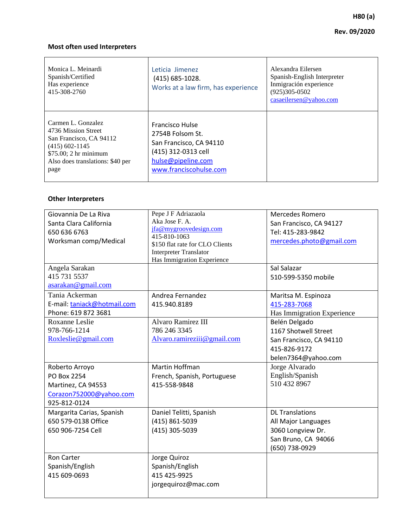# **H80 (a) Rev. 09/2020**

# **Most often used Interpreters**

| Monica L. Meinardi<br>Spanish/Certified<br>Has experience<br>415-308-2760                                                                                     | Leticia Jimenez<br>(415) 685-1028.<br>Works at a law firm, has experience                                                                    | Alexandra Eilersen<br>Spanish-English Interpreter<br>Inmigración experience<br>$(925)305-0502$<br>casaeilersen@yahoo.com |
|---------------------------------------------------------------------------------------------------------------------------------------------------------------|----------------------------------------------------------------------------------------------------------------------------------------------|--------------------------------------------------------------------------------------------------------------------------|
| Carmen L. Gonzalez<br>4736 Mission Street<br>San Francisco, CA 94112<br>$(415)$ 602-1145<br>\$75.00; 2 hr minimum<br>Also does translations: \$40 per<br>page | <b>Francisco Hulse</b><br>2754B Folsom St.<br>San Francisco, CA 94110<br>(415) 312-0313 cell<br>hulse@pipeline.com<br>www.franciscohulse.com |                                                                                                                          |

## **Other Interpreters**

| Giovannia De La Riva<br>Santa Clara California<br>650 636 6763<br>Worksman comp/Medical        | Pepe J F Adriazaola<br>Aka Jose F. A.<br>jfa@mygroovedesign.com<br>415-810-1063<br>\$150 flat rate for CLO Clients<br><b>Interpreter Translator</b><br>Has Immigration Experience | <b>Mercedes Romero</b><br>San Francisco, CA 94127<br>Tel: 415-283-9842<br>mercedes.photo@gmail.com<br>Sal Salazar |
|------------------------------------------------------------------------------------------------|-----------------------------------------------------------------------------------------------------------------------------------------------------------------------------------|-------------------------------------------------------------------------------------------------------------------|
| Angela Sarakan<br>415 731 5537<br>asarakan@gmail.com                                           |                                                                                                                                                                                   | 510-599-5350 mobile                                                                                               |
| Tania Ackerman<br>E-mail: taniack@hotmail.com<br>Phone: 619 872 3681                           | Andrea Fernandez<br>415.940.8189                                                                                                                                                  | Maritsa M. Espinoza<br>415-283-7068<br>Has Immigration Experience                                                 |
| Roxanne Leslie<br>978-766-1214<br>Roxleslie@gmail.com                                          | <b>Alvaro Ramirez III</b><br>786 246 3345<br>Alvaro.ramireziii@gmail.com                                                                                                          | Belén Delgado<br>1167 Shotwell Street<br>San Francisco, CA 94110<br>415-826-9172<br>belen7364@yahoo.com           |
| Roberto Arroyo<br>PO Box 2254<br>Martinez, CA 94553<br>Corazon752000@yahoo.com<br>925-812-0124 | <b>Martin Hoffman</b><br>French, Spanish, Portuguese<br>415-558-9848                                                                                                              | Jorge Alvarado<br>English/Spanish<br>510 432 8967                                                                 |
| Margarita Carias, Spanish<br>650 579-0138 Office<br>650 906-7254 Cell                          | Daniel Telitti, Spanish<br>(415) 861-5039<br>(415) 305-5039                                                                                                                       | <b>DL Translations</b><br>All Major Languages<br>3060 Longview Dr.<br>San Bruno, CA 94066<br>(650) 738-0929       |
| <b>Ron Carter</b><br>Spanish/English<br>415 609-0693                                           | Jorge Quiroz<br>Spanish/English<br>415 425-9925<br>jorgequiroz@mac.com                                                                                                            |                                                                                                                   |